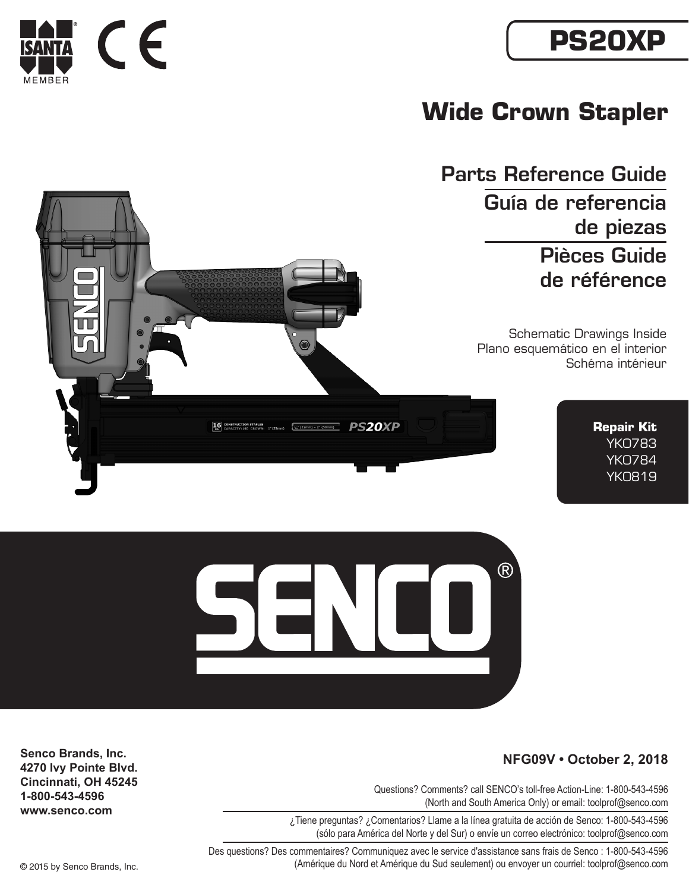## **PS20XP**



Parts Reference Guide Guía de referencia de piezas Pièces Guide de référence

> Schematic Drawings Inside Plano esquemático en el interior Schéma intérieur

> > **Repair Kit** YK0783 YK0784 YK0819



Questions? Comments? call SENCO's toll-free Action-Line: 1-800-543-4596 (North and South America Only) or email: toolprof@senco.com

 $(R)$ 

¿Tiene preguntas? ¿Comentarios? Llame a la línea gratuita de acción de Senco: 1-800-543-4596 (sólo para América del Norte y del Sur) o envíe un correo electrónico: toolprof@senco.com

Des questions? Des commentaires? Communiquez avec le service d'assistance sans frais de Senco : 1-800-543-4596 © 2015 by Senco Brands, Inc. (Amérique du Nord et Amérique du Sud seulement) ou envoyer un courriel: toolprof@senco.com

**Senco Brands, Inc.**

**4270 Ivy Pointe Blvd. Cincinnati, OH 45245 1-800-543-4596 www.senco.com**





٦

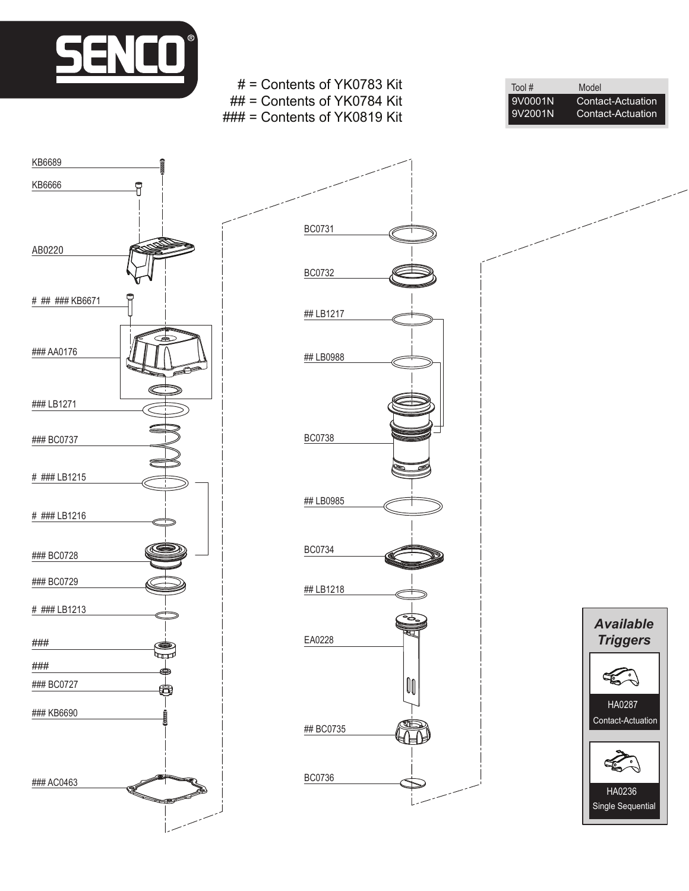

KB6689







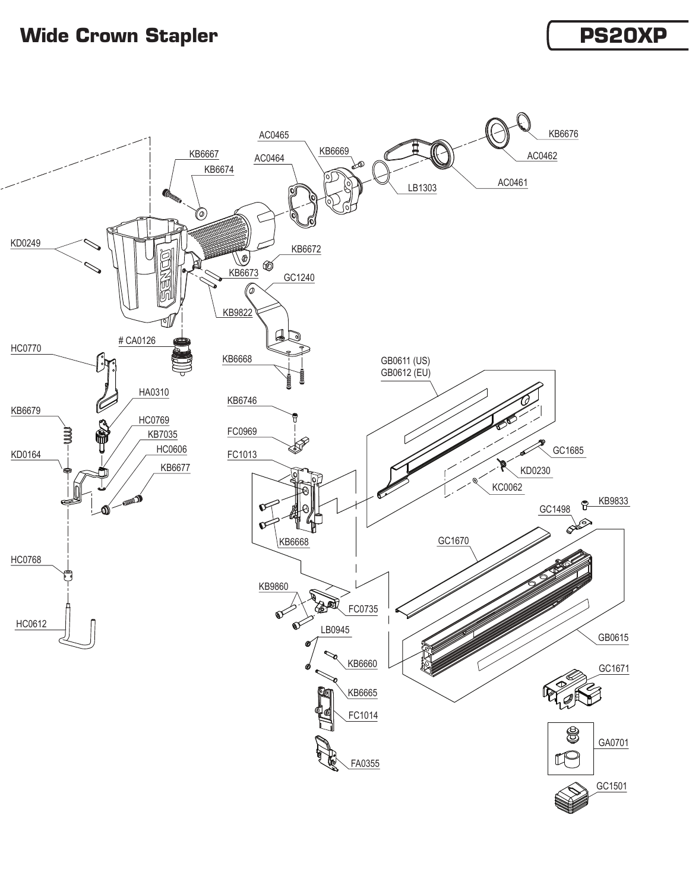## **Wide Crown Stapler** *PS20XP*